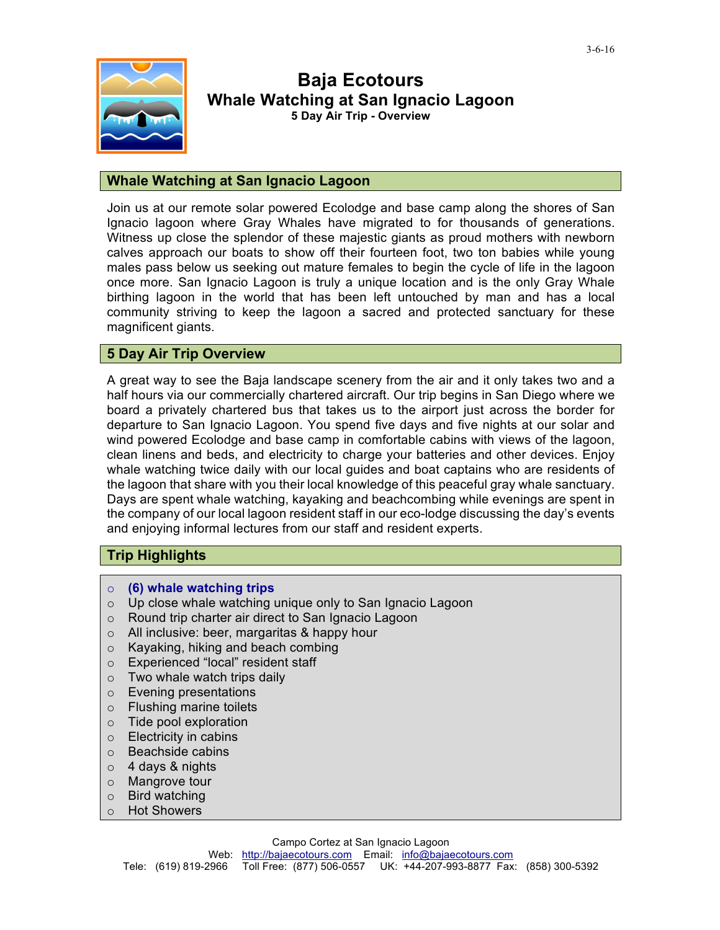

# **Baja Ecotours Whale Watching at San Ignacio Lagoon 5 Day Air Trip - Overview**

## **Whale Watching at San Ignacio Lagoon**

Join us at our remote solar powered Ecolodge and base camp along the shores of San Ignacio lagoon where Gray Whales have migrated to for thousands of generations. Witness up close the splendor of these majestic giants as proud mothers with newborn calves approach our boats to show off their fourteen foot, two ton babies while young males pass below us seeking out mature females to begin the cycle of life in the lagoon once more. San Ignacio Lagoon is truly a unique location and is the only Gray Whale birthing lagoon in the world that has been left untouched by man and has a local community striving to keep the lagoon a sacred and protected sanctuary for these magnificent giants.

## **5 Day Air Trip Overview**

A great way to see the Baja landscape scenery from the air and it only takes two and a half hours via our commercially chartered aircraft. Our trip begins in San Diego where we board a privately chartered bus that takes us to the airport just across the border for departure to San Ignacio Lagoon. You spend five days and five nights at our solar and wind powered Ecolodge and base camp in comfortable cabins with views of the lagoon, clean linens and beds, and electricity to charge your batteries and other devices. Enjoy whale watching twice daily with our local guides and boat captains who are residents of the lagoon that share with you their local knowledge of this peaceful gray whale sanctuary. Days are spent whale watching, kayaking and beachcombing while evenings are spent in the company of our local lagoon resident staff in our eco-lodge discussing the day's events and enjoying informal lectures from our staff and resident experts.

## **Trip Highlights**

- o **(6) whale watching trips**
- o Up close whale watching unique only to San Ignacio Lagoon
- o Round trip charter air direct to San Ignacio Lagoon
- o All inclusive: beer, margaritas & happy hour
- o Kayaking, hiking and beach combing
- o Experienced "local" resident staff
- $\circ$  Two whale watch trips daily
- o Evening presentations
- o Flushing marine toilets
- o Tide pool exploration
- o Electricity in cabins
- o Beachside cabins
- o 4 days & nights
- o Mangrove tour
- o Bird watching
- o Hot Showers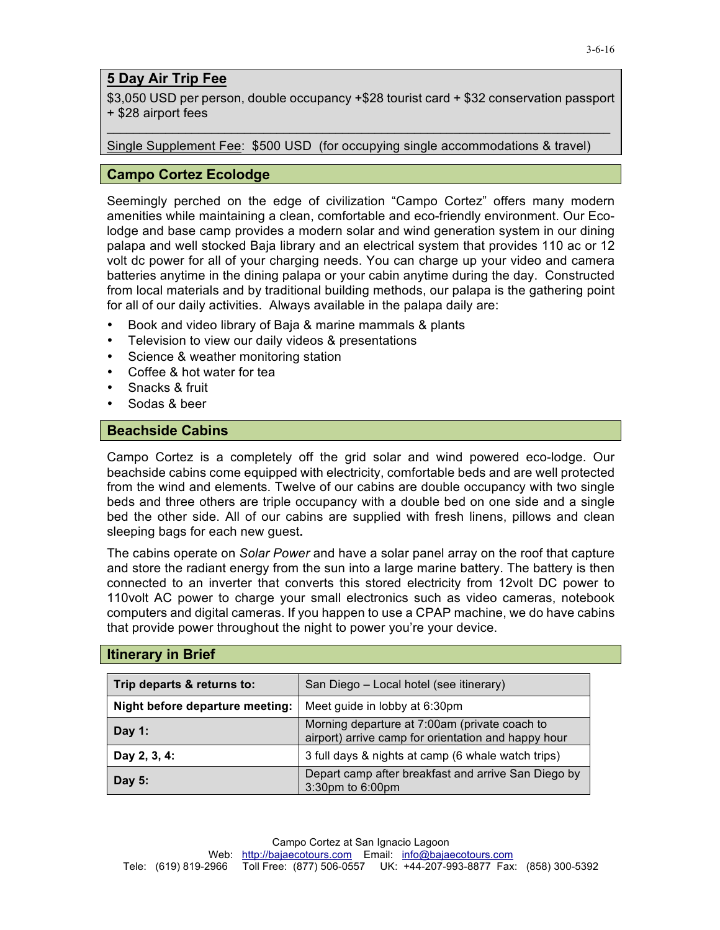## **5 Day Air Trip Fee**

\$3,050 USD per person, double occupancy +\$28 tourist card + \$32 conservation passport + \$28 airport fees

\_\_\_\_\_\_\_\_\_\_\_\_\_\_\_\_\_\_\_\_\_\_\_\_\_\_\_\_\_\_\_\_\_\_\_\_\_\_\_\_\_\_\_\_\_\_\_\_\_\_\_\_\_\_\_\_\_\_\_\_\_\_\_\_\_\_\_\_\_\_\_\_\_\_\_\_\_

Single Supplement Fee: \$500 USD (for occupying single accommodations & travel)

#### **Campo Cortez Ecolodge**

Seemingly perched on the edge of civilization "Campo Cortez" offers many modern amenities while maintaining a clean, comfortable and eco-friendly environment. Our Ecolodge and base camp provides a modern solar and wind generation system in our dining palapa and well stocked Baja library and an electrical system that provides 110 ac or 12 volt dc power for all of your charging needs. You can charge up your video and camera batteries anytime in the dining palapa or your cabin anytime during the day. Constructed from local materials and by traditional building methods, our palapa is the gathering point for all of our daily activities. Always available in the palapa daily are:

- Book and video library of Baja & marine mammals & plants
- Television to view our daily videos & presentations
- Science & weather monitoring station
- Coffee & hot water for tea
- Snacks & fruit
- Sodas & beer

## **Beachside Cabins**

Campo Cortez is a completely off the grid solar and wind powered eco-lodge. Our beachside cabins come equipped with electricity, comfortable beds and are well protected from the wind and elements. Twelve of our cabins are double occupancy with two single beds and three others are triple occupancy with a double bed on one side and a single bed the other side. All of our cabins are supplied with fresh linens, pillows and clean sleeping bags for each new guest**.** 

The cabins operate on *Solar Power* and have a solar panel array on the roof that capture and store the radiant energy from the sun into a large marine battery. The battery is then connected to an inverter that converts this stored electricity from 12volt DC power to 110volt AC power to charge your small electronics such as video cameras, notebook computers and digital cameras. If you happen to use a CPAP machine, we do have cabins that provide power throughout the night to power you're your device.

#### **Itinerary in Brief**

| Trip departs & returns to:      | San Diego - Local hotel (see itinerary)                                                              |  |
|---------------------------------|------------------------------------------------------------------------------------------------------|--|
| Night before departure meeting: | Meet guide in lobby at 6:30pm                                                                        |  |
| Day $1:$                        | Morning departure at 7:00am (private coach to<br>airport) arrive camp for orientation and happy hour |  |
| Day 2, 3, 4:                    | 3 full days & nights at camp (6 whale watch trips)                                                   |  |
| Day 5:                          | Depart camp after breakfast and arrive San Diego by<br>3:30pm to 6:00pm                              |  |